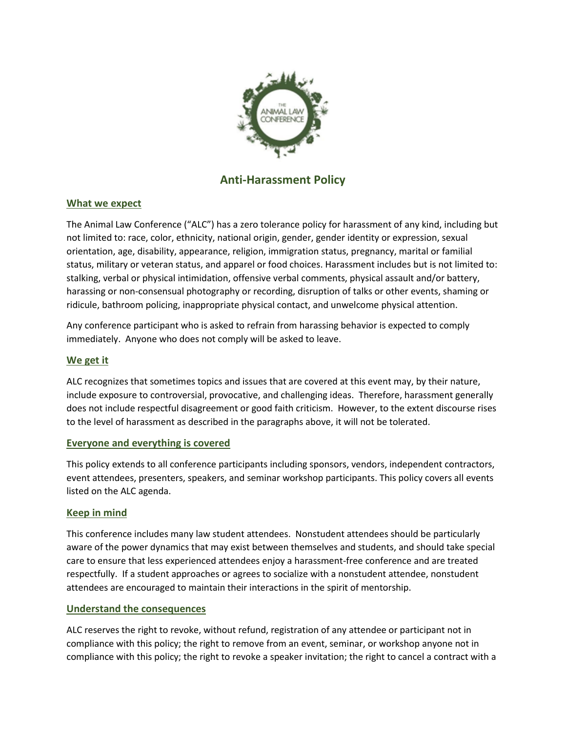

# **Anti-Harassment Policy**

#### **What we expect**

The Animal Law Conference ("ALC") has a zero tolerance policy for harassment of any kind, including but not limited to: race, color, ethnicity, national origin, gender, gender identity or expression, sexual orientation, age, disability, appearance, religion, immigration status, pregnancy, marital or familial status, military or veteran status, and apparel or food choices. Harassment includes but is not limited to: stalking, verbal or physical intimidation, offensive verbal comments, physical assault and/or battery, harassing or non-consensual photography or recording, disruption of talks or other events, shaming or ridicule, bathroom policing, inappropriate physical contact, and unwelcome physical attention.

Any conference participant who is asked to refrain from harassing behavior is expected to comply immediately. Anyone who does not comply will be asked to leave.

## **We get it**

ALC recognizes that sometimes topics and issues that are covered at this event may, by their nature, include exposure to controversial, provocative, and challenging ideas. Therefore, harassment generally does not include respectful disagreement or good faith criticism. However, to the extent discourse rises to the level of harassment as described in the paragraphs above, it will not be tolerated.

#### **Everyone and everything is covered**

This policy extends to all conference participants including sponsors, vendors, independent contractors, event attendees, presenters, speakers, and seminar workshop participants. This policy covers all events listed on the ALC agenda.

#### **Keep in mind**

This conference includes many law student attendees. Nonstudent attendees should be particularly aware of the power dynamics that may exist between themselves and students, and should take special care to ensure that less experienced attendees enjoy a harassment-free conference and are treated respectfully. If a student approaches or agrees to socialize with a nonstudent attendee, nonstudent attendees are encouraged to maintain their interactions in the spirit of mentorship.

#### **Understand the consequences**

ALC reserves the right to revoke, without refund, registration of any attendee or participant not in compliance with this policy; the right to remove from an event, seminar, or workshop anyone not in compliance with this policy; the right to revoke a speaker invitation; the right to cancel a contract with a